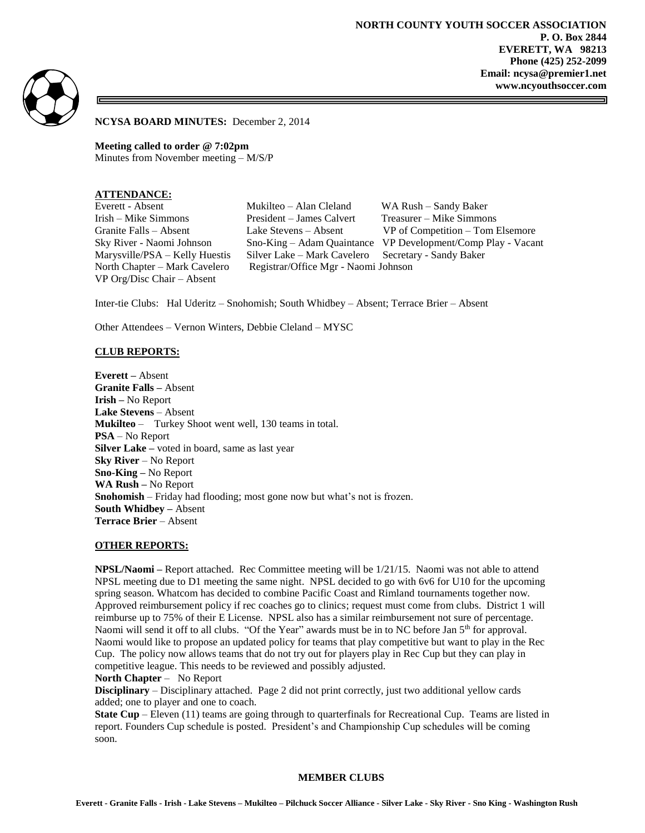**NORTH COUNTY YOUTH SOCCER ASSOCIATION P. O. Box 2844 EVERETT, WA 98213 Phone (425) 252-2099 Email: ncysa@premier1.net www.ncyouthsoccer.com**



**NCYSA BOARD MINUTES:** December 2, 2014

**Meeting called to order @ 7:02pm** Minutes from November meeting – M/S/P

## **ATTENDANCE:**

VP Org/Disc Chair – Absent

Everett - Absent Mukilteo – Alan Cleland WA Rush – Sandy Baker Irish – Mike Simmons President – James Calvert Treasurer – Mike Simmons Granite Falls – Absent Lake Stevens – Absent VP of Competition – Tom Elsemore Marysville/PSA – Kelly Huestis Silver Lake – Mark Cavelero Secretary - Sandy Baker North Chapter – Mark Cavelero Registrar/Office Mgr - Naomi Johnson

Sky River - Naomi Johnson Sno-King – Adam Quaintance VP Development/Comp Play - Vacant

Inter-tie Clubs: Hal Uderitz – Snohomish; South Whidbey – Absent; Terrace Brier – Absent

Other Attendees – Vernon Winters, Debbie Cleland – MYSC

### **CLUB REPORTS:**

**Everett –** Absent **Granite Falls –** Absent **Irish –** No Report **Lake Stevens** – Absent **Mukilteo** – Turkey Shoot went well, 130 teams in total. **PSA** – No Report **Silver Lake –** voted in board, same as last year **Sky River** – No Report **Sno-King –** No Report **WA Rush –** No Report **Snohomish** – Friday had flooding; most gone now but what's not is frozen. **South Whidbey –** Absent **Terrace Brier** – Absent

#### **OTHER REPORTS:**

**NPSL/Naomi –** Report attached. Rec Committee meeting will be 1/21/15. Naomi was not able to attend NPSL meeting due to D1 meeting the same night. NPSL decided to go with 6v6 for U10 for the upcoming spring season. Whatcom has decided to combine Pacific Coast and Rimland tournaments together now. Approved reimbursement policy if rec coaches go to clinics; request must come from clubs. District 1 will reimburse up to 75% of their E License. NPSL also has a similar reimbursement not sure of percentage. Naomi will send it off to all clubs. "Of the Year" awards must be in to NC before Jan 5<sup>th</sup> for approval. Naomi would like to propose an updated policy for teams that play competitive but want to play in the Rec Cup. The policy now allows teams that do not try out for players play in Rec Cup but they can play in competitive league. This needs to be reviewed and possibly adjusted.

**North Chapter** – No Report

**Disciplinary** – Disciplinary attached. Page 2 did not print correctly, just two additional yellow cards added; one to player and one to coach.

**State Cup** – Eleven (11) teams are going through to quarterfinals for Recreational Cup. Teams are listed in report. Founders Cup schedule is posted. President's and Championship Cup schedules will be coming soon.

#### **MEMBER CLUBS**